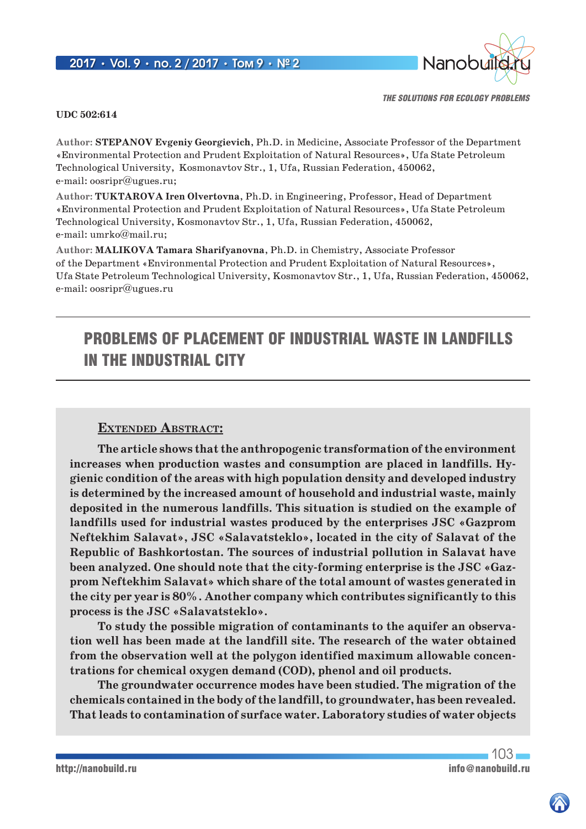## 2017 **•** Vol. 9 **•** no. 2 / 2017 **•** Том 9 **•** № 2



*THE SOLUTIONS FOR ECOLOGY PROBLEMS*

### **UDC 502:614**

**Author: STEPANOV Evgeniy Georgievich**, Ph.D. in Medicine, Associate Professor of the Department «Environmental Protection and Prudent Exploitation of Natural Resources», Ufa State Petroleum Technological University, Kosmonavtov Str., 1, Ufa, Russian Federation, 450062, e-mail: oosripr@ugues.ru;

**Author: TUKTAROVA Iren Olvertovna**, Ph.D. in Engineering, Professor, Head of Department «Environmental Protection and Prudent Exploitation of Natural Resources», Ufa State Petroleum Technological University, Kosmonavtov Str., 1, Ufa, Russian Federation, 450062, e-mail: umrko@mail.ru;

**Author: MALIKOVA Tamara Sharifyanovna**, Ph.D. in Chemistry, Associate Professor of the Department «Environmental Protection and Prudent Exploitation of Natural Resources», Ufa State Petroleum Technological University, Kosmonavtov Str., 1, Ufa, Russian Federation, 450062, e-mail: oosripr@ugues.ru

# PROBLEMS OF PLACEMENT OF INDUSTRIAL WASTE IN LANDFILLS IN THE INDUSTRIAL CITY

## **Extended Abstract:**

**The article shows that the anthropogenic transformation of the environment increases when production wastes and consumption are placed in landfills. Hygienic condition of the areas with high population density and developed industry is determined by the increased amount of household and industrial waste, mainly deposited in the numerous landfills. This situation is studied on the example of landfills used for industrial wastes produced by the enterprises JSC «Gazprom Neftekhim Salavat», JSC «Salavatsteklo», located in the city of Salavat of the Republic of Bashkortostan. The sources of industrial pollution in Salavat have been analyzed. One should note that the city-forming enterprise is the JSC «Gazprom Neftekhim Salavat» which share of the total amount of wastes generated in the city per year is 80%. Another company which contributes significantly to this process is the JSC «Salavatsteklo».**

**To study the possible migration of contaminants to the aquifer an observation well has been made at the landfill site. The research of the water obtained from the observation well at the polygon identified maximum allowable concentrations for chemical oxygen demand (COD), phenol and oil products.**

**The groundwater occurrence modes have been studied. The migration of the chemicals contained in the body of the landfill, to groundwater, has been revealed. That leads to contamination of surface water. Laboratory studies of water objects**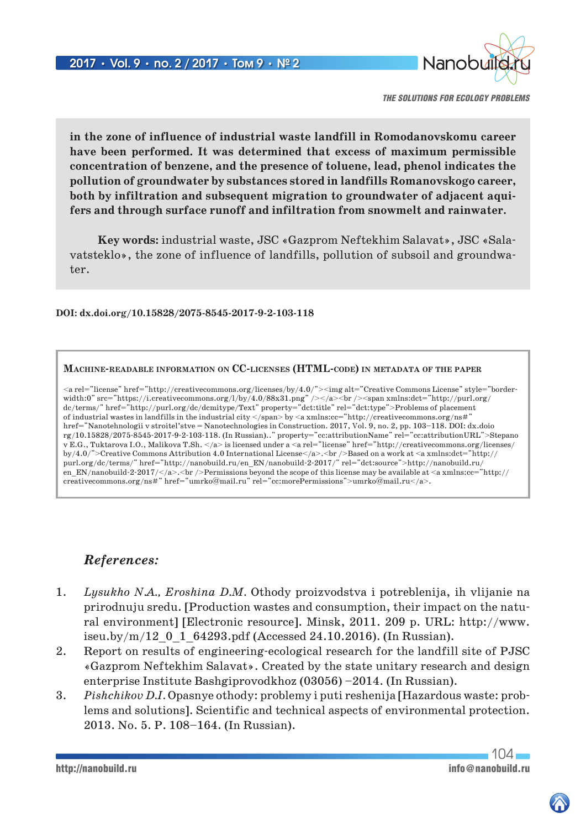

**in the zone of influence of industrial waste landfill in Romodanovskomu career have been performed. It was determined that excess of maximum permissible concentration of benzene, and the presence of toluene, lead, phenol indicates the pollution of groundwater by substances stored in landfills Romanovskogo career, both by infiltration and subsequent migration to groundwater of adjacent aquifers and through surface runoff and infiltration from snowmelt and rainwater.**

**Key words:** industrial waste, JSC «Gazprom Neftekhim Salavat», JSC «Salavatsteklo», the zone of influence of landfills, pollution of subsoil and groundwater.

**DOI: dx.doi.org/10.15828/2075-8545-2017-9-2-103-118**

#### **Machine-readable information on CC-licenses (HTML-code) in metadata of the paper**

<a rel="license" href="http://creativecommons.org/licenses/by/4.0/"><img alt="Creative Commons License" style="borderwidth:0" src="https://i.creativecommons.org/l/by/4.0/88x31.png" /></a><br/><br/>>lorg/>present xmlns:dct="http://purl.org/ dc/terms/" href="http://purl.org/dc/dcmitype/Text" property="dct:title" rel="dct:type">Problems of placement of industrial wastes in landfills in the industrial city </span> by <a xmlns:cc="http://creativecommons.org/ns#" href="Nanotehnologii v stroitel'stve = Nanotechnologies in Construction. 2017, Vol. 9, no. 2, pp. 103–118. DOI: dx.doio rg/10.15828/2075-8545-2017-9-2-103-118. (In Russian).." property="cc:attributionName" rel="cc:attributionURL">Stepano v E.G., Tuktarova I.O., Malikova T.Sh. </a> is licensed under a <a rel="license" href="http://creativecommons.org/licenses/ by/4.0/">Creative Commons Attribution 4.0 International License</a>.<br />Based on a work at <a xmlns:dct="http:// purl.org/dc/terms/" href="http://nanobuild.ru/en\_EN/nanobuild-2-2017/" rel="dct:source">http://nanobuild.ru/ en EN/nanobuild-2-2017/ $\langle$ /a>. $\langle$ br/>Permissions beyond the scope of this license may be available at  $\langle$ a xmlns:cc="http:// creativecommons.org/ns#" href="umrko@mail.ru" rel="cc:morePermissions">umrko@mail.ru</a>.

## *References:*

- 1. *Lysukho N.A., Eroshina D.M.* Othody proizvodstva i potreblenija, ih vlijanie na prirodnuju sredu. [Production wastes and consumption, their impact on the natural environment] [Electronic resource]. Minsk, 2011. 209 p. URL: http://www. iseu.by/m/12\_0\_1\_64293.pdf (Accessed 24.10.2016). (In Russian).
- 2. Report on results of engineering-ecological research for the landfill site of PJSC «Gazprom Neftekhim Salavat». Created by the state unitary research and design enterprise Institute Bashgiprovodkhoz (03056) –2014. (In Russian).
- 3. *Pishchikov D.I.* Opasnye othody: problemy i puti reshenija [Hazardous waste: problems and solutions]. Scientific and technical aspects of environmental protection. 2013. No. 5. P. 108–164. (In Russian).

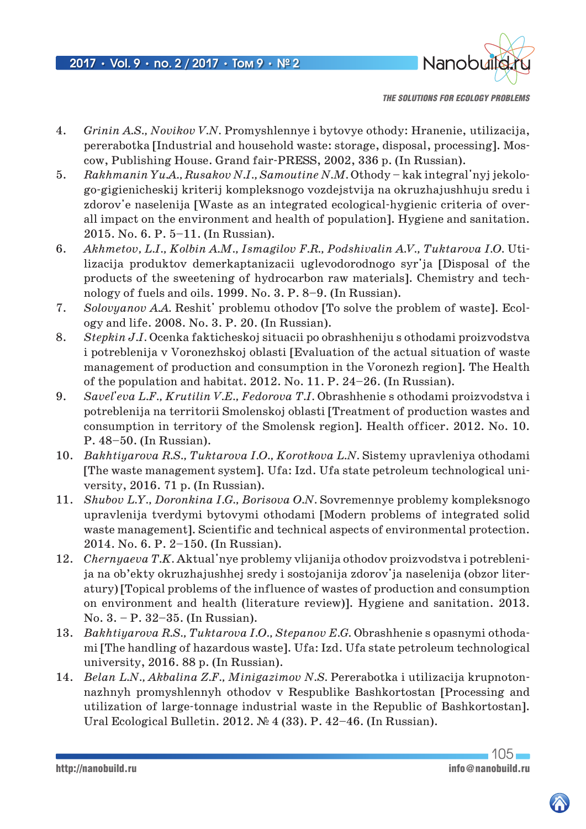

- 4. *Grinin A.S., Novikov V.N.* Promyshlennye i bytovye othody: Hranenie, utilizacija, pererabotka [Industrial and household waste: storage, disposal, processing]. Moscow, Publishing House. Grand fair-PRESS, 2002, 336 p. (In Russian).
- 5. *Rakhmanin Yu.A., Rusakov N.I., Samoutine N.M.* Othody kak integral'nyj jekologo-gigienicheskij kriterij kompleksnogo vozdejstvija na okruzhajushhuju sredu i zdorov'e naselenija [Waste as an integrated ecological-hygienic criteria of overall impact on the environment and health of population]. Hygiene and sanitation. 2015. No. 6. P. 5–11. (In Russian).
- 6. Akhmetov, L.I., Kolbin A.M., Ismagilov F.R., Podshivalin A.V., Tuktarova I.O. Utilizacija produktov demerkaptanizacii uglevodorodnogo syr'ja [Disposal of the products of the sweetening of hydrocarbon raw materials]. Chemistry and technology of fuels and oils. 1999. No. 3. P. 8–9. (In Russian).
- 7. *Solovyanov A.A.* Reshit' problemu othodov [To solve the problem of waste]. Ecology and life. 2008. No. 3. P. 20. (In Russian).
- 8. *Stepkin J.I.* Ocenka fakticheskoj situacii po obrashheniju s othodami proizvodstva i potreblenija v Voronezhskoj oblasti [Evaluation of the actual situation of waste management of production and consumption in the Voronezh region]. The Health of the population and habitat. 2012. No. 11. P. 24–26. (In Russian).
- 9. *Savel'eva L.F., Krutilin V.E., Fedorova T.I.* Obrashhenie s othodami proizvodstva i potreblenija na territorii Smolenskoj oblasti [Treatment of production wastes and consumption in territory of the Smolensk region]. Health officer. 2012. No. 10. P. 48–50. (In Russian).
- 10. *Bakhtiyarova R.S., Tuktarova I.O., Korotkova L.N.* Sistemy upravleniya othodami [The waste management system]. Ufa: Izd. Ufa state petroleum technological university, 2016. 71 р. (In Russian).
- 11. *Shubov L.Y., Doronkina I.G., Borisova O.N.* Sovremennye problemy kompleksnogo upravlenija tverdymi bytovymi othodami [Modern problems of integrated solid waste management]. Scientific and technical aspects of environmental protection. 2014. No. 6. P. 2–150. (In Russian).
- 12. *Chernyaeva T.K.* Aktual'nye problemy vlijanija othodov proizvodstva i potreblenija na ob'ekty okruzhajushhej sredy i sostojanija zdorov'ja naselenija (obzor literatury) [Topical problems of the influence of wastes of production and consumption on environment and health (literature review)]. Hygiene and sanitation. 2013. No. 3. – P. 32–35. (In Russian).
- 13. *Bakhtiyarova R.S., Tuktarova I.O., Stepanov E.G.* Obrashhenie s opasnymi othodami [The handling of hazardous waste]. Ufa: Izd. Ufa state petroleum technological university, 2016. 88 p. (In Russian).
- 14. *Belan L.N., Akbalina Z.F., Minigazimov N.S.* Pererabotka i utilizacija krupnotonnazhnyh promyshlennyh othodov v Respublike Bashkortostan [Processing and utilization of large-tonnage industrial waste in the Republic of Bashkortostan]. Ural Ecological Bulletin. 2012. № 4 (33). P. 42–46. (In Russian).

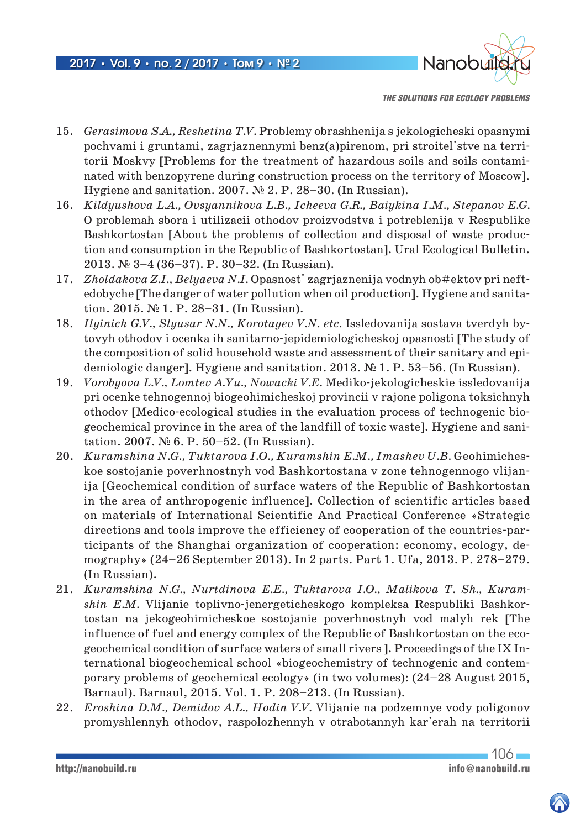

- 15. *Gerasimova S.A., Reshetina T.V.* Problemy obrashhenija s jekologicheski opasnymi pochvami i gruntami, zagrjaznennymi benz(a)pirenom, pri stroitel'stve na territorii Moskvy [Problems for the treatment of hazardous soils and soils contaminated with benzopyrene during construction process on the territory of Moscow]. Hygiene and sanitation. 2007. № 2. P. 28–30. (In Russian).
- 16. *Kildyushova L.A., Ovsyannikova L.B., Icheeva G.R., Baiykina I.M., Stepanov E.G.* O problemah sbora i utilizacii othodov proizvodstva i potreblenija v Respublike Bashkortostan [About the problems of collection and disposal of waste production and consumption in the Republic of Bashkortostan]. Ural Ecological Bulletin. 2013. № 3–4 (36–37). P. 30–32. (In Russian).
- 17. *Zholdakova Z.I., Belyaeva N.I.* Opasnost' zagrjaznenija vodnyh ob#ektov pri neftedobyche [The danger of water pollution when oil production]. Hygiene and sanitation. 2015. № 1. P. 28–31. (In Russian).
- 18. *Ilyinich G.V., Slyusar N.N., Korotayev V.N. etc.* Issledovanija sostava tverdyh bytovyh othodov i ocenka ih sanitarno-jepidemiologicheskoj opasnosti [The study of the composition of solid household waste and assessment of their sanitary and epidemiologic danger]. Hygiene and sanitation. 2013. № 1. P. 53–56. (In Russian).
- 19. *Vorobyova L.V., Lomtev A.Yu., Nowacki V.E.* Mediko-jekologicheskie issledovanija pri ocenke tehnogennoj biogeohimicheskoj provincii v rajone poligona toksichnyh othodov [Medico-ecological studies in the evaluation process of technogenic biogeochemical province in the area of the landfill of toxic waste]. Hygiene and sanitation. 2007. № 6. P. 50–52. (In Russian).
- 20. *Kuramshina N.G., Tuktarova I.O., Kuramshin E.M., Imashev U.B. Geohimiches*koe sostojanie poverhnostnyh vod Bashkortostana v zone tehnogennogo vlijanija [Geochemical condition of surface waters of the Republic of Bashkortostan in the area of anthropogenic influence]. Collection of scientific articles based on materials of International Scientific And Practical Conference «Strategic directions and tools improve the efficiency of cooperation of the countries-participants of the Shanghai organization of cooperation: economy, ecology, demography» (24–26 September 2013). In 2 parts. Part 1. Ufa, 2013. P. 278–279. (In Russian).
- 21. *Kuramshina N.G., Nurtdinova E.E., Tuktarova I.O., Malikova T. Sh., Kuramshin E.M.* Vlijanie toplivno-jenergeticheskogo kompleksa Respubliki Bashkortostan na jekogeohimicheskoe sostojanie poverhnostnyh vod malyh rek [The influence of fuel and energy complex of the Republic of Bashkortostan on the ecogeochemical condition of surface waters of small rivers ]. Proceedings of the IX International biogeochemical school «biogeochemistry of technogenic and contemporary problems of geochemical ecology» (in two volumes): (24–28 August 2015, Barnaul). Barnaul, 2015. Vol. 1. P. 208–213. (In Russian).
- 22. *Eroshina D.M., Demidov A.L., Hodin V.V.* Vlijanie na podzemnye vody poligonov promyshlennyh othodov, raspolozhennyh v otrabotannyh kar'erah na territorii

http://nanobuild.ru info@nanobuild.ru

 $106 -$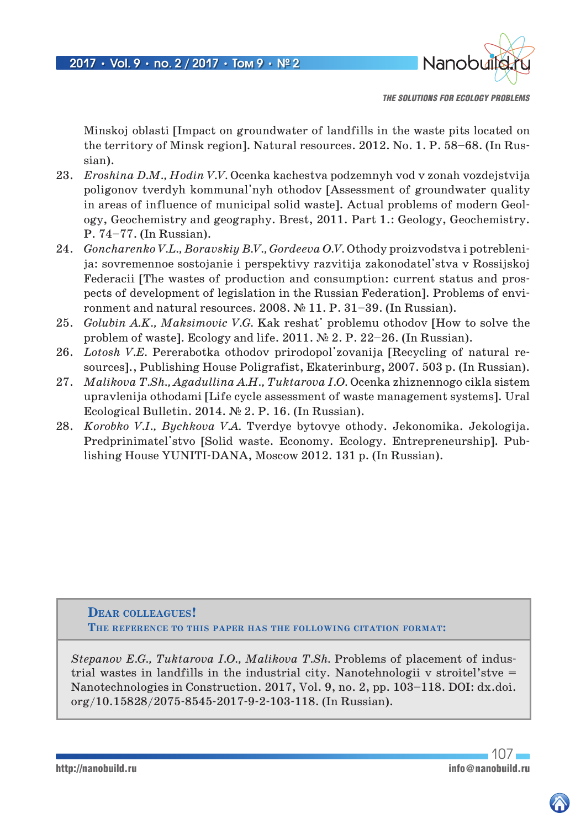

Minskoj oblasti [Impact on groundwater of landfills in the waste pits located on the territory of Minsk region]. Natural resources. 2012. No. 1. P. 58–68. (In Russian).

- 23. *Eroshina D.M., Hodin V.V.* Ocenka kachestva podzemnyh vod v zonah vozdejstvija poligonov tverdyh kommunal'nyh othodov [Assessment of groundwater quality in areas of influence of municipal solid waste]. Actual problems of modern Geology, Geochemistry and geography. Brest, 2011. Part 1.: Geology, Geochemistry. P. 74–77. (In Russian).
- 24. *Goncharenko V.L., Boravskiy B.V., Gordeeva O.V.* Othody proizvodstva i potreblenija: sovremennoe sostojanie i perspektivy razvitija zakonodatel'stva v Rossijskoj Federacii [The wastes of production and consumption: current status and prospects of development of legislation in the Russian Federation]. Problems of environment and natural resources. 2008. № 11. P. 31–39. (In Russian).
- 25. *Golubin A.K., Maksimovic V.G.* Kak reshat' problemu othodov [How to solve the problem of waste]. Ecology and life. 2011. № 2. P. 22–26. (In Russian).
- 26. *Lotosh V.E.* Pererabotka othodov prirodopol'zovanija [Recycling of natural resources]., Publishing House Poligrafist, Ekaterinburg, 2007. 503 p. (In Russian).
- 27. *Malikova T.Sh., Agadullina A.H., Tuktarova I.O.* Ocenka zhiznennogo cikla sistem upravlenija othodami [Life cycle assessment of waste management systems]. Ural Ecological Bulletin. 2014. № 2. P. 16. (In Russian).
- 28. *Korobko V.I., Bychkova V.A.* Tverdye bytovye othody. Jekonomika. Jekologija. Predprinimatel'stvo [Solid waste. Economy. Ecology. Entrepreneurship]. Publishing House YUNITI-DANA, Moscow 2012. 131 p. (In Russian).

**Dear colleagues! The reference to this paper has the following citation format:**

*Stepanov E.G., Tuktarova I.O., Malikova T.Sh.* Problems of placement of industrial wastes in landfills in the industrial city. Nanotehnologii v stroitel'stve = Nanotechnologies in Construction. 2017, Vol. 9, no. 2, pp. 103–118. DOI: dx.doi. org/10.15828/2075-8545-2017-9-2-103-118. (In Russian).

107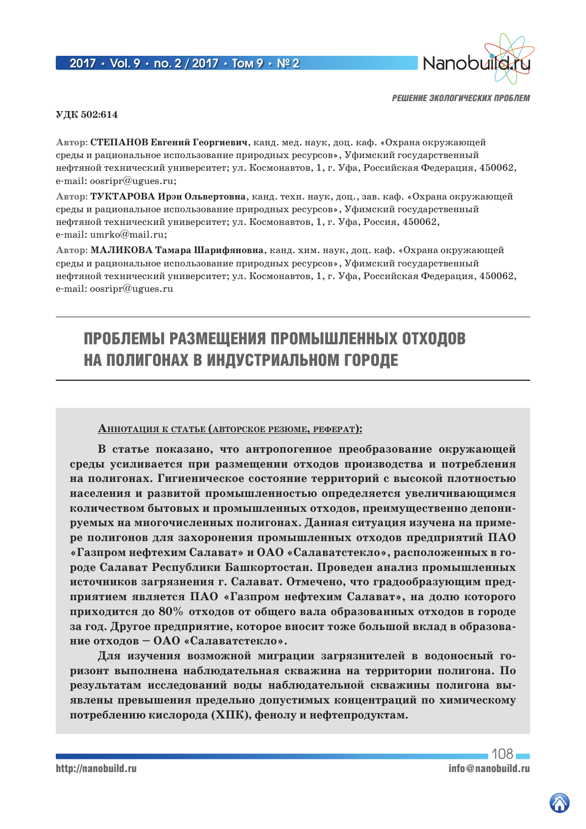## 2017 **•** Vol. 9 **•** no. 2 / 2017 **•** Том 9 **•** № 2



*РЕШЕНИЕ ЭКОЛОГИЧЕСКИХ ПРОБЛЕМ*

### **УДК 502:614**

**Автор: СТЕПАНОВ Евгений Георгиевич**, канд. мед. наук, доц. каф. «Охрана окружающей среды и рациональное использование природных ресурсов», Уфимский государственный нефтяной технический университет; ул. Космонавтов, 1, г. Уфа, Российская Федерация, 450062, e-mail: oosripr@ugues.ru;

**Автор: ТУКТАРОВА Ирэн Ольвертовна**, канд. техн. наук, доц., зав. каф. «Охрана окружающей среды и рациональное использование природных ресурсов», Уфимский государственный нефтяной технический университет; ул. Космонавтов, 1, г. Уфа, Россия, 450062, e-mail: umrko@mail.ru;

**Автор: МАЛИКОВА Тамара Шарифяновна**, канд. хим. наук, доц. каф. «Охрана окружающей среды и рациональное использование природных ресурсов», Уфимский государственный нефтяной технический университет; ул. Космонавтов, 1, г. Уфа, Российская Федерация, 450062, e-mail: oosripr@ugues.ru

# ПРОБЛЕМЫ РАЗМЕЩЕНИЯ ПРОМЫШЛЕННЫХ ОТХОДОВ НА ПОЛИГОНАХ В ИНДУСТРИАЛЬНОМ ГОРОДЕ

### **АннотАция <sup>к</sup> стАтье (Авторское резюме, реферАт):**

**В статье показано, что антропогенное преобразование окружающей среды усиливается при размещении отходов производства и потребления на полигонах. Гигиеническое состояние территорий с высокой плотностью населения и развитой промышленностью определяется увеличивающимся количеством бытовых и промышленных отходов, преимущественно депонируемых на многочисленных полигонах. Данная ситуация изучена на примере полигонов для захоронения промышленных отходов предприятий ПАО «Газпром нефтехим Салават» и ОАО «Салаватстекло», расположенных в городе Салават Республики Башкортостан. Проведен анализ промышленных источников загрязнения г. Салават. Отмечено, что градообразующим предприятием является ПАО «Газпром нефтехим Салават», на долю которого приходится до 80% отходов от общего вала образованных отходов в городе за год. Другое предприятие, которое вносит тоже большой вклад в образование отходов – ОАО «Салаватстекло».**

**Для изучения возможной миграции загрязнителей в водоносный горизонт выполнена наблюдательная скважина на территории полигона. По результатам исследований воды наблюдательной скважины полигона выявлены превышения предельно допустимых концентраций по химическому потреблению кислорода (ХПК), фенолу и нефтепродуктам.**

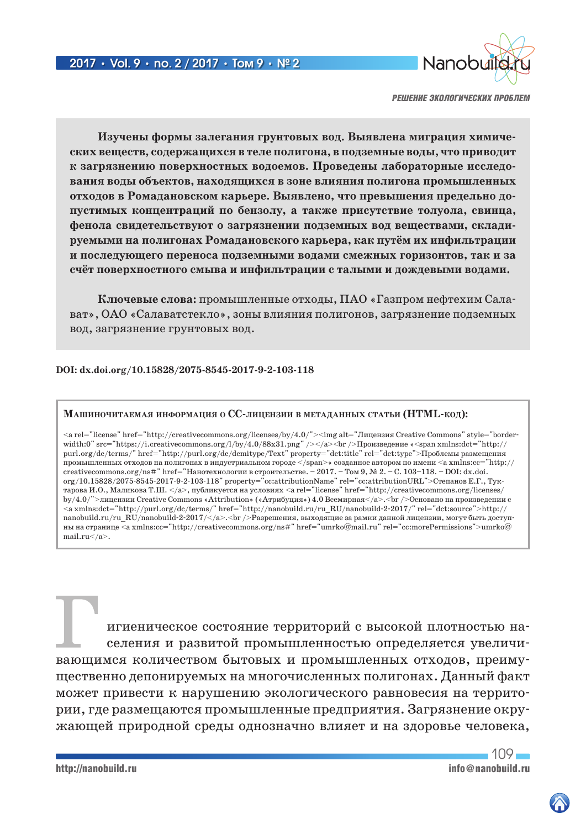

**Изучены формы залегания грунтовых вод. Выявлена миграция химических веществ, содержащихся в теле полигона, в подземные воды, что приводит к загрязнению поверхностных водоемов. Проведены лабораторные исследования воды объектов, находящихся в зоне влияния полигона промышленных отходов в Ромадановском карьере. Выявлено, что превышения предельно допустимых концентраций по бензолу, а также присутствие толуола, свинца, фенола свидетельствуют о загрязнении подземных вод веществами, складируемыми на полигонах Ромадановского карьера, как путём их инфильтрации и последующего переноса подземными водами смежных горизонтов, так и за счёт поверхностного смыва и инфильтрации с талыми и дождевыми водами.**

**Ключевые слова:** промышленные отходы, ПАО «Газпром нефтехим Салават», ОАО «Салаватстекло», зоны влияния полигонов, загрязнение подземных вод, загрязнение грунтовых вод.

### **DOI: dx.doi.org/10.15828/2075-8545-2017-9-2-103-118**

#### **МАшиночитАемАя информАция о CC-лицензии в метАдАнных стАтьи (HTML-код):**

<a rel="license" href="http://creativecommons.org/licenses/by/4.0/"><img alt="Лицензия Creative Commons" style="borderwidth:0" src="https://i.creativecommons.org/l/by/4.0/88x31.png" /></a><br />br />Произведение «<span xmlns:dct="http:// purl.org/dc/terms/" href="http://purl.org/dc/dcmitype/Text" property="dct:title" rel="dct:type">Проблемы размещения промышленных отходов на полигонах в индустриальном городе </span>» созданное автором по имени <a xmlns:cc="http:// creativecommons.org/ns#" href="Нанотехнологии в строительстве. – 2017. – Том 9, № 2. – С. 103–118. – DOI: dx.doi. org/10.15828/2075-8545-2017-9-2-103-118" property="cc:attributionName" rel="cc:attributionURL">Степанов Е.Г., Туктарова И.О., Маликова Т.Ш. </a>, публикуется на условиях <a rel="license" href="http://creativecommons.org/licenses/ by/4.0/">лицензии Creative Commons «Attribution» («Атрибуция») 4.0 Всемирная</a>.<br />Основано на произведении с <a xmlns:dct="http://purl.org/dc/terms/" href="http://nanobuild.ru/ru\_RU/nanobuild-2-2017/" rel="dct:source">http:// nanobuild.ru/ru\_RU/nanobuild-2-2017/</a>.<br />Разрешения, выходящие за рамки данной лицензии, могут быть доступны на странице <a xmlns:cc="http://creativecommons.org/ns#" href="umrko@mail.ru" rel="cc:morePermissions">umrko@ mail.ru</a>.

игиеническое состояние территорий с высокой плотностью населения и развитой промышленностью определяется увеличивающимся количеством бытовых и промышленных отходов, преимущественно депонируемых на многочисленных полигонах. Данный факт может привести к нарушению экологического равновесия на территории, где размещаются промышленные предприятия. Загрязнение окружающей природной среды однозначно влияет и на здоровье человека,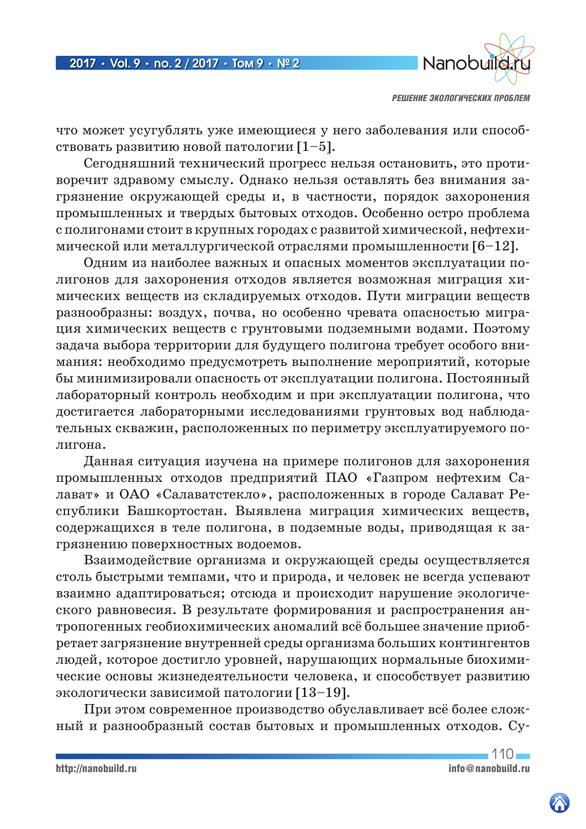

что может усугублять уже имеющиеся у него заболевания или способствовать развитию новой патологии [1–5].

Сегодняшний технический прогресс нельзя остановить, это противоречит здравому смыслу. Однако нельзя оставлять без внимания загрязнение окружающей среды и, в частности, порядок захоронения промышленных и твердых бытовых отходов. Особенно остро проблема с полигонами стоит в крупных городах с развитой химической, нефтехимической или металлургической отраслями промышленности [6–12].

Одним из наиболее важных и опасных моментов эксплуатации полигонов для захоронения отходов является возможная миграция химических веществ из складируемых отходов. Пути миграции веществ разнообразны: воздух, почва, но особенно чревата опасностью миграция химических веществ с грунтовыми подземными водами. Поэтому задача выбора территории для будущего полигона требует особого внимания: необходимо предусмотреть выполнение мероприятий, которые бы минимизировали опасность от эксплуатации полигона. Постоянный лабораторный контроль необходим и при эксплуатации полигона, что достигается лабораторными исследованиями грунтовых вод наблюдательных скважин, расположенных по периметру эксплуатируемого полигона.

Данная ситуация изучена на примере полигонов для захоронения промышленных отходов предприятий ПАО «Газпром нефтехим Салават» и ОАО «Салаватстекло», расположенных в городе Салават Республики Башкортостан. Выявлена миграция химических веществ, содержащихся в теле полигона, в подземные воды, приводящая к загрязнению поверхностных водоемов.

Взаимодействие организма и окружающей среды осуществляется столь быстрыми темпами, что и природа, и человек не всегда успевают взаимно адаптироваться; отсюда и происходит нарушение экологического равновесия. В результате формирования и распространения антропогенных геобиохимических аномалий всё большее значение приобретает загрязнение внутренней среды организма больших контингентов людей, которое достигло уровней, нарушающих нормальные биохимические основы жизнедеятельности человека, и способствует развитию экологически зависимой патологии [13–19].

При этом современное производство обуславливает всё более сложный и разнообразный состав бытовых и промышленных отходов. Су-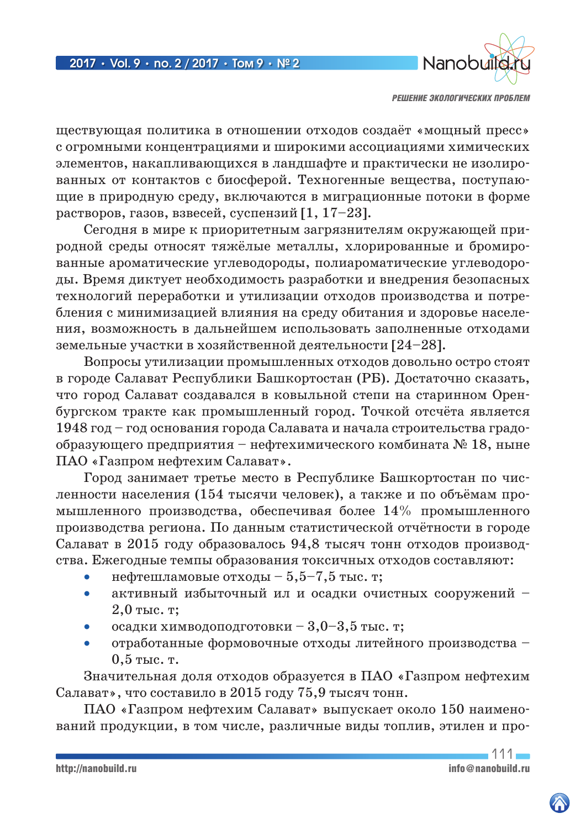

ществующая политика в отношении отходов создаёт «мощный пресс» с огромными концентрациями и широкими ассоциациями химических элементов, накапливающихся в ландшафте и практически не изолированных от контактов с биосферой. Техногенные вещества, поступающие в природную среду, включаются в миграционные потоки в форме растворов, газов, взвесей, суспензий [1, 17–23].

Сегодня в мире к приоритетным загрязнителям окружающей природной среды относят тяжёлые металлы, хлорированные и бромированные ароматические углеводороды, полиароматические углеводороды. Время диктует необходимость разработки и внедрения безопасных технологий переработки и утилизации отходов производства и потребления с минимизацией влияния на среду обитания и здоровье населения, возможность в дальнейшем использовать заполненные отходами земельные участки в хозяйственной деятельности [24–28].

Вопросы утилизации промышленных отходов довольно остро стоят в городе Салават Республики Башкортостан (РБ). Достаточно сказать, что город Салават создавался в ковыльной степи на старинном Оренбургском тракте как промышленный город. Точкой отсчёта является 1948 год – год основания города Салавата и начала строительства градообразующего предприятия – нефтехимического комбината № 18, ныне ПАО «Газпром нефтехим Салават».

Город занимает третье место в Республике Башкортостан по численности населения (154 тысячи человек), а также и по объёмам промышленного производства, обеспечивая более 14% промышленного производства региона. По данным статистической отчётности в городе Салават в 2015 году образовалось 94,8 тысяч тонн отходов производства. Ежегодные темпы образования токсичных отходов составляют:

- нефтешламовые отходы  $5,5-7,5$  тыс. т;
- активный избыточный ил и осадки очистных сооружений 2,0 тыс. т;
- осадки химводоподготовки  $3,0-3,5$  тыс. т;
- отработанные формовочные отходы литейного производства 0,5 тыс. т.

Значительная доля отходов образуется в ПАО «Газпром нефтехим Салават», что составило в 2015 году 75,9 тысяч тонн.

ПАО «Газпром нефтехим Салават» выпускает около 150 наименований продукции, в том числе, различные виды топлив, этилен и про-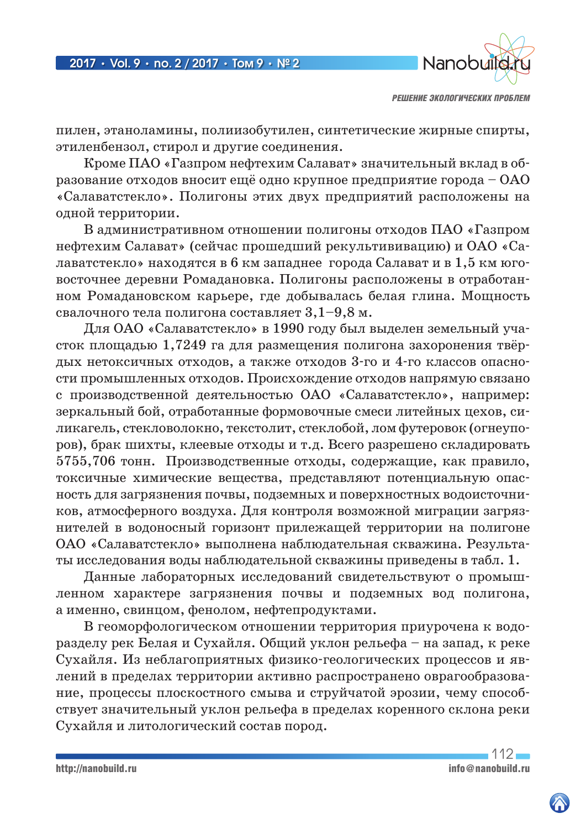

пилен, этаноламины, полиизобутилен, синтетические жирные спирты, этиленбензол, стирол и другие соединения.

Кроме ПАО «Газпром нефтехим Салават» значительный вклад в образование отходов вносит ещё одно крупное предприятие города – ОАО «Салаватстекло». Полигоны этих двух предприятий расположены на одной территории.

В административном отношении полигоны отходов ПАО «Газпром нефтехим Салават» (сейчас прошедший рекультививацию) и ОАО «Салаватстекло» находятся в 6 км западнее города Салават и в 1,5 км юговосточнее деревни Ромадановка. Полигоны расположены в отработанном Ромадановском карьере, где добывалась белая глина. Мощность свалочного тела полигона составляет 3,1–9,8 м.

Для ОАО «Салаватстекло» в 1990 году был выделен земельный участок площадью 1,7249 га для размещения полигона захоронения твёрдых нетоксичных отходов, а также отходов 3-го и 4-го классов опасности промышленных отходов. Происхождение отходов напрямую связано с производственной деятельностью ОАО «Салаватстекло», например: зеркальный бой, отработанные формовочные смеси литейных цехов, силикагель, стекловолокно, текстолит, стеклобой, лом футеровок (огнеупоров), брак шихты, клеевые отходы и т.д. Всего разрешено складировать 5755,706 тонн. Производственные отходы, содержащие, как правило, токсичные химические вещества, представляют потенциальную опасность для загрязнения почвы, подземных и поверхностных водоисточников, атмосферного воздуха. Для контроля возможной миграции загрязнителей в водоносный горизонт прилежащей территории на полигоне ОАО «Салаватстекло» выполнена наблюдательная скважина. Результаты исследования воды наблюдательной скважины приведены в табл. 1.

Данные лабораторных исследований свидетельствуют о промышленном характере загрязнения почвы и подземных вод полигона, а именно, свинцом, фенолом, нефтепродуктами.

В геоморфологическом отношении территория приурочена к водоразделу рек Белая и Сухайля. Общий уклон рельефа – на запад, к реке Сухайля. Из неблагоприятных физико-геологических процессов и явлений в пределах территории активно распространено оврагообразование, процессы плоскостного смыва и струйчатой эрозии, чему способствует значительный уклон рельефа в пределах коренного склона реки Сухайля и литологический состав пород.

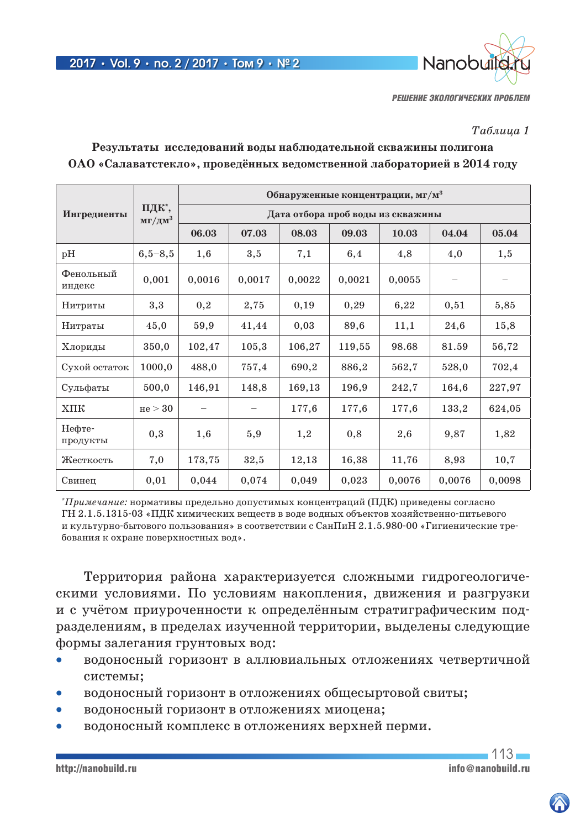

### *Таблица 1*

| Ингредиенты         | ПДК*,<br>мг/дм $3$ | Обнаруженные концентрации, мг/м <sup>3</sup> |        |        |        |        |        |        |  |  |
|---------------------|--------------------|----------------------------------------------|--------|--------|--------|--------|--------|--------|--|--|
|                     |                    | Дата отбора проб воды из скважины            |        |        |        |        |        |        |  |  |
|                     |                    | 06.03                                        | 07.03  | 08.03  | 09.03  | 10.03  | 04.04  | 05.04  |  |  |
| pH                  | $6,5-8,5$          | 1,6                                          | 3,5    | 7,1    | 6,4    | 4,8    | 4,0    | 1,5    |  |  |
| Фенольный<br>индекс | 0,001              | 0,0016                                       | 0,0017 | 0,0022 | 0,0021 | 0,0055 |        |        |  |  |
| Нитриты             | 3,3                | 0,2                                          | 2,75   | 0,19   | 0,29   | 6,22   | 0,51   | 5,85   |  |  |
| Нитраты             | 45,0               | 59,9                                         | 41,44  | 0,03   | 89,6   | 11,1   | 24,6   | 15,8   |  |  |
| Хлориды             | 350,0              | 102,47                                       | 105,3  | 106,27 | 119,55 | 98.68  | 81.59  | 56,72  |  |  |
| Сухой остаток       | 1000,0             | 488,0                                        | 757,4  | 690,2  | 886,2  | 562,7  | 528,0  | 702,4  |  |  |
| Сульфаты            | 500,0              | 146,91                                       | 148,8  | 169,13 | 196,9  | 242,7  | 164,6  | 227,97 |  |  |
| $X\Pi K$            | He > 30            |                                              |        | 177,6  | 177,6  | 177,6  | 133,2  | 624,05 |  |  |
| Нефте-<br>продукты  | 0,3                | 1,6                                          | 5,9    | 1,2    | 0,8    | 2,6    | 9,87   | 1,82   |  |  |
| Жесткость           | 7,0                | 173,75                                       | 32,5   | 12,13  | 16,38  | 11,76  | 8,93   | 10,7   |  |  |
| Свинец              | 0,01               | 0,044                                        | 0,074  | 0,049  | 0,023  | 0,0076 | 0,0076 | 0,0098 |  |  |

# **Результаты исследований воды наблюдательной скважины полигона ОАО «Салаватстекло», проведённых ведомственной лабораторией в 2014 году**

\* *Примечание:* нормативы предельно допустимых концентраций (ПДК) приведены согласно ГН 2.1.5.1315-03 «ПДК химических веществ в воде водных объектов хозяйственно-питьевого и культурно-бытового пользования» в соответствии с СанПиН 2.1.5.980-00 «Гигиенические требования к охране поверхностных вод».

Территория района характеризуется сложными гидрогеологическими условиями. По условиям накопления, движения и разгрузки и с учётом приуроченности к определённым стратиграфическим подразделениям, в пределах изученной территории, выделены следующие формы залегания грунтовых вод:

- водоносный горизонт в аллювиальных отложениях четвертичной системы;
- водоносный горизонт в отложениях общесыртовой свиты;
- водоносный горизонт в отложениях миоцена;
- водоносный комплекс в отложениях верхней перми.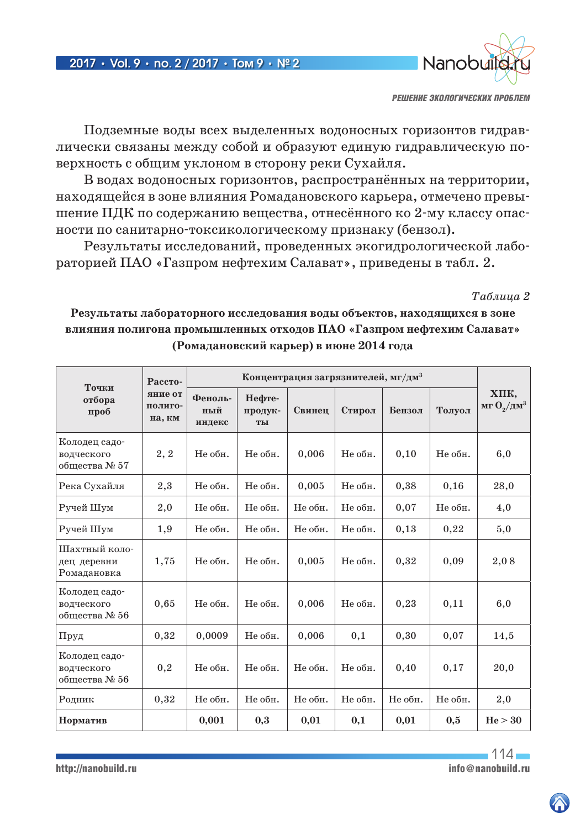

Подземные воды всех выделенных водоносных горизонтов гидравлически связаны между собой и образуют единую гидравлическую поверхность с общим уклоном в сторону реки Сухайля.

В водах водоносных горизонтов, распространённых на территории, находящейся в зоне влияния Ромадановского карьера, отмечено превышение ПДК по содержанию вещества, отнесённого ко 2-му классу опасности по санитарно-токсикологическому признаку (бензол).

Результаты исследований, проведенных экогидрологической лабораторией ПАО «Газпром нефтехим Салават», приведены в табл. 2.

*Таблица 2*

**Результаты лабораторного исследования воды объектов, находящихся в зоне влияния полигона промышленных отходов ПАО «Газпром нефтехим Салават» (Ромадановский карьер) в июне 2014 года**

| Точки<br>отбора<br>проб                      | Рассто-<br>яние от<br>полиго-<br>на, км |                          |                         |         |         |         |         |                               |
|----------------------------------------------|-----------------------------------------|--------------------------|-------------------------|---------|---------|---------|---------|-------------------------------|
|                                              |                                         | Феноль-<br>ный<br>индекс | Нефте-<br>продук-<br>TЫ | Свинец  | Стирол  | Бензол  | Толуол  | XIIK,<br>мг $O_2/\text{µM}^3$ |
| Колодец садо-<br>водческого<br>общества № 57 | 2, 2                                    | Не обн.                  | Не обн.                 | 0,006   | Не обн. | 0,10    | Не обн. | 6,0                           |
| Река Сухайля                                 | 2,3                                     | Не обн.                  | Не обн.                 | 0,005   | Не обн. | 0,38    | 0,16    | 28,0                          |
| Ручей Шум                                    | 2,0                                     | Не обн.                  | Не обн.                 | Не обн. | Не обн. | 0,07    | Не обн. | 4,0                           |
| Ручей Шум                                    | 1,9                                     | Не обн.                  | Не обн.                 | Не обн. | Не обн. | 0,13    | 0,22    | 5,0                           |
| Шахтный коло-<br>дец деревни<br>Ромадановка  | 1,75                                    | Не обн.                  | Не обн.                 | 0,005   | Не обн. | 0,32    | 0,09    | 2,08                          |
| Колодец садо-<br>водческого<br>общества № 56 | 0,65                                    | Не обн.                  | Не обн.                 | 0,006   | Не обн. | 0,23    | 0,11    | 6,0                           |
| Пруд                                         | 0,32                                    | 0,0009                   | Не обн.                 | 0,006   | 0,1     | 0,30    | 0,07    | 14,5                          |
| Колодец садо-<br>водческого<br>общества № 56 | 0,2                                     | Не обн.                  | Не обн.                 | Не обн. | Не обн. | 0,40    | 0,17    | 20,0                          |
| Родник                                       | 0,32                                    | Не обн.                  | Не обн.                 | Не обн. | Не обн. | Не обн. | Не обн. | 2,0                           |
| Норматив                                     |                                         | 0,001                    | 0,3                     | 0,01    | 0,1     | 0,01    | 0,5     | He > 30                       |

 $114$ http://nanobuild.ru<br>
info@nanobuild.ru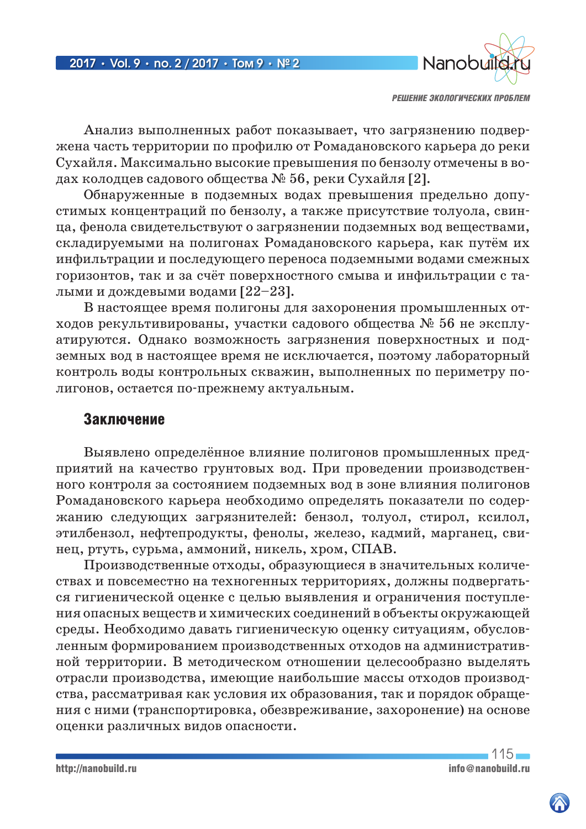

Анализ выполненных работ показывает, что загрязнению подвержена часть территории по профилю от Ромадановского карьера до реки Сухайля. Максимально высокие превышения по бензолу отмечены в водах колодцев садового общества № 56, реки Сухайля [2].

Обнаруженные в подземных водах превышения предельно допустимых концентраций по бензолу, а также присутствие толуола, свинца, фенола свидетельствуют о загрязнении подземных вод веществами, складируемыми на полигонах Ромадановского карьера, как путём их инфильтрации и последующего переноса подземными водами смежных горизонтов, так и за счёт поверхностного смыва и инфильтрации с талыми и дождевыми водами [22–23].

В настоящее время полигоны для захоронения промышленных отходов рекультивированы, участки садового общества № 56 не эксплуатируются. Однако возможность загрязнения поверхностных и подземных вод в настоящее время не исключается, поэтому лабораторный контроль воды контрольных скважин, выполненных по периметру полигонов, остается по-прежнему актуальным.

# Заключение

Выявлено определённое влияние полигонов промышленных предприятий на качество грунтовых вод. При проведении производственного контроля за состоянием подземных вод в зоне влияния полигонов Ромадановского карьера необходимо определять показатели по содержанию следующих загрязнителей: бензол, толуол, стирол, ксилол, этилбензол, нефтепродукты, фенолы, железо, кадмий, марганец, свинец, ртуть, сурьма, аммоний, никель, хром, СПАВ.

Производственные отходы, образующиеся в значительных количествах и повсеместно на техногенных территориях, должны подвергаться гигиенической оценке с целью выявления и ограничения поступления опасных веществ и химических соединений в объекты окружающей среды. Необходимо давать гигиеническую оценку ситуациям, обусловленным формированием производственных отходов на административной территории. В методическом отношении целесообразно выделять отрасли производства, имеющие наибольшие массы отходов производства, рассматривая как условия их образования, так и порядок обращения с ними (транспортировка, обезвреживание, захоронение) на основе оценки различных видов опасности.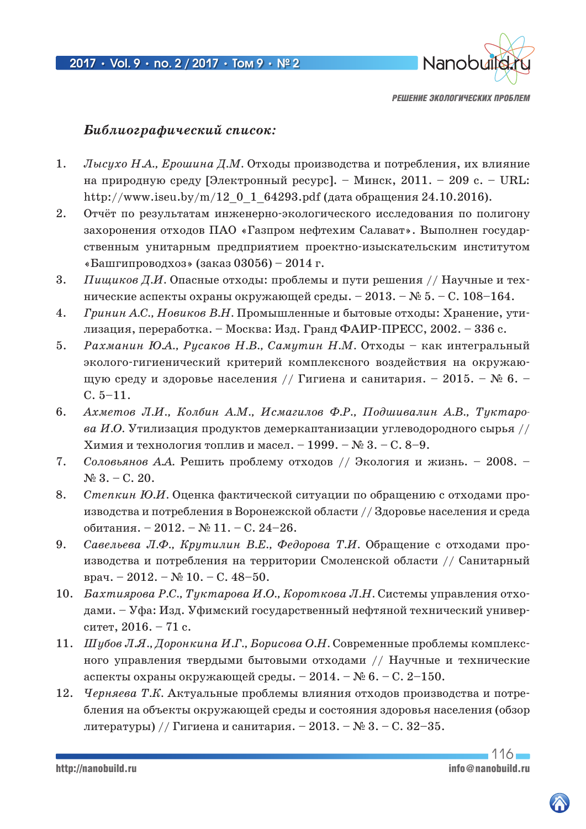

# *Библиографический список:*

- 1. *Лысухо Н.А., Ерошина Д.М.* Отходы производства и потребления, их влияние на природную среду [Электронный ресурс]. – Минск, 2011. – 209 с. – URL: http://www.iseu.by/m/12\_0\_1\_64293.pdf (дата обращения 24.10.2016).
- 2. Отчёт по результатам инженерно-экологического исследования по полигону захоронения отходов ПАО «Газпром нефтехим Салават». Выполнен государственным унитарным предприятием проектно-изыскательским институтом «Башгипроводхоз» (заказ 03056) – 2014 г.
- 3. *Пищиков Д.И.* Опасные отходы: проблемы и пути решения // Научные и технические аспекты охраны окружающей среды. – 2013. – № 5. – С. 108–164.
- 4. *Гринин А.С., Новиков В.Н.* Промышленные и бытовые отходы: Хранение, утилизация, переработка. – Москва: Изд. Гранд ФАИР-ПРЕСС, 2002. – 336 с.
- 5. *Рахманин Ю.А., Русаков Н.В., Самутин Н.М.* Отходы как интегральный эколого-гигиенический критерий комплексного воздействия на окружающую среду и здоровье населения // Гигиена и санитария. – 2015. – № 6. – С. 5–11.
- 6. *Ахметов Л.И., Колбин А.М., Исмагилов Ф.Р., Подшивалин А.В., Туктарова И.О.* Утилизация продуктов демеркаптанизации углеводородного сырья // Химия и технология топлив и масел. – 1999. – № 3. – С. 8–9.
- 7. *Соловьянов А.А.* Решить проблему отходов // Экология и жизнь. 2008.  $N_2$  3. – C. 20.
- 8. *Степкин Ю.И.* Оценка фактической ситуации по обращению с отходами производства и потребления в Воронежской области // Здоровье населения и среда обитания. – 2012. – № 11. – С. 24–26.
- 9. *Савельева Л.Ф., Крутилин В.Е., Федорова Т.И.* Обращение с отходами производства и потребления на территории Смоленской области // Санитарный врач. – 2012. – № 10. – С. 48–50.
- 10. *Бахтиярова Р.С., Туктарова И.О., Короткова Л.Н.* Системы управления отходами. – Уфа: Изд. Уфимский государственный нефтяной технический университет, 2016. – 71 с.
- 11. *Шубов Л.Я., Доронкина И.Г., Борисова О.Н.* Современные проблемы комплексного управления твердыми бытовыми отходами // Научные и технические аспекты охраны окружающей среды. – 2014. – № 6. – С. 2–150.
- 12. *Черняева Т.К.* Актуальные проблемы влияния отходов производства и потребления на объекты окружающей среды и состояния здоровья населения (обзор литературы) // Гигиена и санитария. – 2013. – № 3. – С. 32–35.

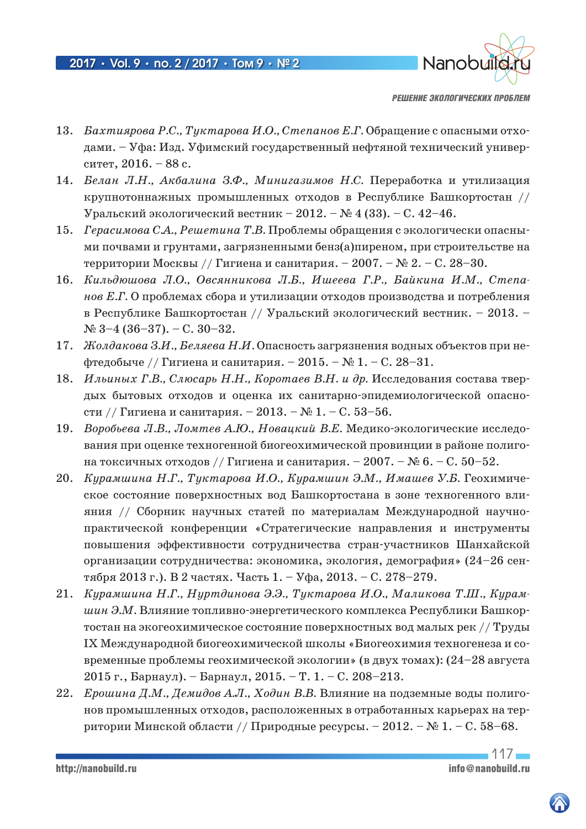

- 13. *Бахтиярова Р.С., Туктарова И.О., Степанов Е.Г.* Обращение с опасными отходами. – Уфа: Изд. Уфимский государственный нефтяной технический университет, 2016. – 88 с.
- 14. *Белан Л.Н., Акбалина З.Ф., Минигазимов Н.С.* Переработка и утилизация крупнотоннажных промышленных отходов в Республике Башкортостан // Уральский экологический вестник – 2012. – № 4 (33). – С. 42–46.
- 15. *Герасимова С.А., Решетина Т.В.* Проблемы обращения с экологически опасными почвами и грунтами, загрязненными бенз(а)пиреном, при строительстве на территории Москвы // Гигиена и санитария. – 2007. – № 2. – С. 28–30.
- 16. *Кильдюшова Л.О., Овсянникова Л.Б., Ишеева Г.Р., Байкина И.М., Степанов Е.Г.* О проблемах сбора и утилизации отходов производства и потребления в Республике Башкортостан // Уральский экологический вестник. – 2013. –  $N_{2}$  3-4 (36-37). – C. 30-32.
- 17. *Жолдакова З.И., Беляева Н.И.* Опасность загрязнения водных объектов при нефтедобыче // Гигиена и санитария. – 2015. –  $N_2$  1. – С. 28–31.
- 18. *Ильиных Г.В., Слюсарь Н.Н., Коротаев В.Н. и др.* Исследования состава твердых бытовых отходов и оценка их санитарно-эпидемиологической опасности // Гигиена и санитария. – 2013. – № 1. – С. 53–56.
- 19. *Воробьева Л.В., Ломтев А.Ю., Новацкий В.Е.* Медико-экологические исследования при оценке техногенной биогеохимической провинции в районе полигона токсичных отходов // Гигиена и санитария. – 2007. – № 6. – С. 50–52.
- 20. *Курамшина Н.Г., Туктарова И.О., Курамшин Э.М., Имашев У.Б.* Геохимическое состояние поверхностных вод Башкортостана в зоне техногенного влияния // Сборник научных статей по материалам Международной научнопрактической конференции «Стратегические направления и инструменты повышения эффективности сотрудничества стран-участников Шанхайской организации сотрудничества: экономика, экология, демография» (24–26 сентября 2013 г.). В 2 частях. Часть 1. – Уфа, 2013. – С. 278–279.
- 21. *Курамшина Н.Г., Нуртдинова Э.Э., Туктарова И.О., Маликова Т.Ш., Курамшин Э.М.* Влияние топливно-энергетического комплекса Республики Башкортостан на экогеохимическое состояние поверхностных вод малых рек // Труды IX Международной биогеохимической школы «Биогеохимия техногенеза и современные проблемы геохимической экологии» (в двух томах): (24–28 августа 2015 г., Барнаул). – Барнаул, 2015. – Т. 1. – С. 208–213.
- 22. *Ерошина Д.М., Демидов А.Л., Ходин В.В.* Влияние на подземные воды полигонов промышленных отходов, расположенных в отработанных карьерах на территории Минской области // Природные ресурсы. – 2012. – № 1. – С. 58–68.